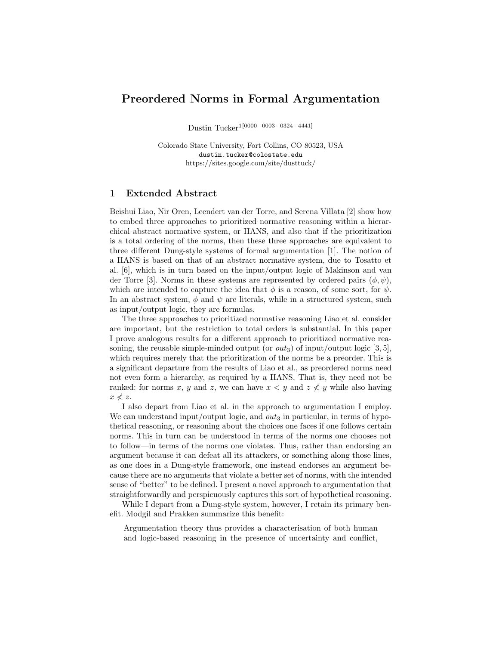## **Preordered Norms in Formal Argumentation**

Dustin Tucker1[0000*−*0003*−*0324*−*4441]

Colorado State University, Fort Collins, CO 80523, USA dustin.tucker@colostate.edu https://sites.google.com/site/dusttuck/

## **1 Extended Abstract**

Beishui Liao, Nir Oren, Leendert van der Torre, and Serena Villata [2] show how to embed three approaches to prioritized normative reasoning within a hierarchical abstract normative system, or HANS, and also that if the prioritization is a total ordering of the norms, then these three approaches are equivalent to three different Dung-style systems of formal argumentation [1]. The notion of a HANS is based on that of an abstract normative system, due to Tosatto et al. [6], which is in turn based on the input/output logic of Makinson and van der Torre [3]. Norms in these systems are represented by ordered pairs  $(\phi, \psi)$ , which are intended to capture the idea that  $\phi$  is a reason, of some sort, for  $\psi$ . In an abstract system,  $\phi$  and  $\psi$  are literals, while in a structured system, such as input/output logic, they are formulas.

The three approaches to prioritized normative reasoning Liao et al. consider are important, but the restriction to total orders is substantial. In this paper I prove analogous results for a different approach to prioritized normative reasoning, the reusable simple-minded output (or  $out_3$ ) of input/output logic [3, 5], which requires merely that the prioritization of the norms be a preorder. This is a significant departure from the results of Liao et al., as preordered norms need not even form a hierarchy, as required by a HANS. That is, they need not be ranked: for norms x, y and z, we can have  $x < y$  and  $z \nless y$  while also having  $x \nless z$ .

I also depart from Liao et al. in the approach to argumentation I employ. We can understand input/output logic, and  $out_3$  in particular, in terms of hypothetical reasoning, or reasoning about the choices one faces if one follows certain norms. This in turn can be understood in terms of the norms one chooses not to follow—in terms of the norms one violates. Thus, rather than endorsing an argument because it can defeat all its attackers, or something along those lines, as one does in a Dung-style framework, one instead endorses an argument because there are no arguments that violate a better set of norms, with the intended sense of "better" to be defined. I present a novel approach to argumentation that straightforwardly and perspicuously captures this sort of hypothetical reasoning.

While I depart from a Dung-style system, however, I retain its primary benefit. Modgil and Prakken summarize this benefit:

Argumentation theory thus provides a characterisation of both human and logic-based reasoning in the presence of uncertainty and conflict,